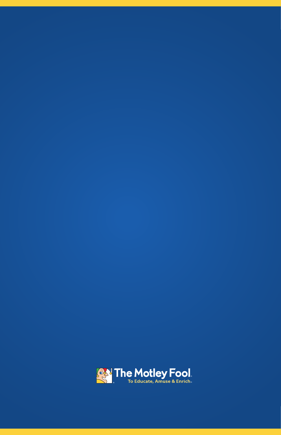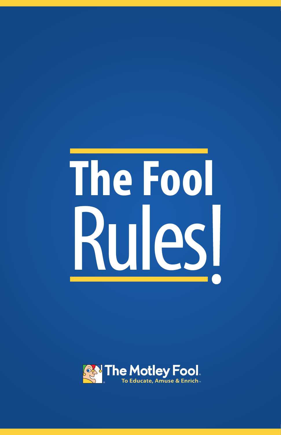# The Fool Rules

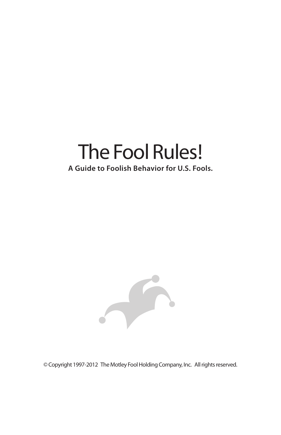# The Fool Rules!

# **A Guide to Foolish Behavior for U.S. Fools.**



© Copyright 1997-2012 The Motley Fool Holding Company, Inc. All rights reserved.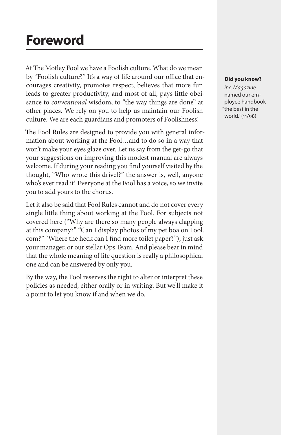# **Foreword**

At The Motley Fool we have a Foolish culture. What do we mean by "Foolish culture?" It's a way of life around our office that encourages creativity, promotes respect, believes that more fun leads to greater productivity, and most of all, pays little obeisance to *conventional* wisdom, to "the way things are done" at other places. We rely on you to help us maintain our Foolish culture. We are each guardians and promoters of Foolishness!

The Fool Rules are designed to provide you with general information about working at the Fool…and to do so in a way that won't make your eyes glaze over. Let us say from the get-go that your suggestions on improving this modest manual are always welcome. If during your reading you find yourself visited by the thought, "Who wrote this drivel?" the answer is, well, anyone who's ever read it! Everyone at the Fool has a voice, so we invite you to add yours to the chorus.

Let it also be said that Fool Rules cannot and do not cover every single little thing about working at the Fool. For subjects not covered here ("Why are there so many people always clapping at this company?" "Can I display photos of my pet boa on Fool. com?" "Where the heck can I find more toilet paper?"), just ask your manager, or our stellar Ops Team. And please bear in mind that the whole meaning of life question is really a philosophical one and can be answered by only you.

By the way, the Fool reserves the right to alter or interpret these policies as needed, either orally or in writing. But we'll make it a point to let you know if and when we do.

#### **Did you know?**

*inc. Magazine* named our employee handbook "the best in the world." (11/98)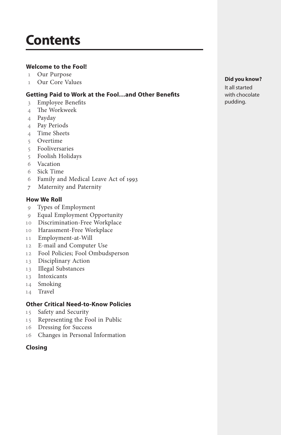# **Contents**

### **Welcome to the Fool!**

- Our Purpose
- Our Core Values

### **Getting Paid to Work at the Fool…and Other Benefits**

- Employee Benefits
- The Workweek
- Payday
- Pay Periods
- Time Sheets
- Overtime
- Fooliversaries
- Foolish Holidays
- Vacation
- Sick Time
- Family and Medical Leave Act of 1993
- 7 Maternity and Paternity

#### **How We Roll**

- Types of Employment
- Equal Employment Opportunity
- Discrimination-Free Workplace
- Harassment-Free Workplace
- Employment-at-Will
- E-mail and Computer Use
- Fool Policies; Fool Ombudsperson
- Disciplinary Action
- Illegal Substances
- Intoxicants
- Smoking
- Travel

### **Other Critical Need-to-Know Policies**

- Safety and Security
- Representing the Fool in Public
- Dressing for Success
- Changes in Personal Information

#### **Closing**

#### **Did you know?**

It all started with chocolate pudding.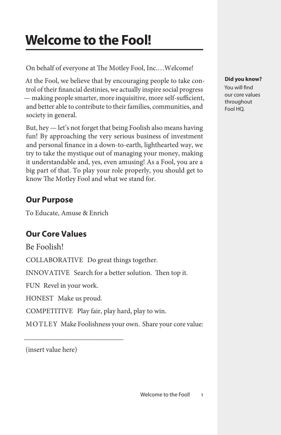# **Welcome to the Fool!**

On behalf of everyone at The Motley Fool, Inc.…Welcome!

At the Fool, we believe that by encouraging people to take control of their financial destinies, we actually inspire social progress — making people smarter, more inquisitive, more self-sufficient, and better able to contribute to their families, communities, and society in general.

But, hey — let's not forget that being Foolish also means having fun! By approaching the very serious business of investment and personal finance in a down-to-earth, lighthearted way, we try to take the mystique out of managing your money, making it understandable and, yes, even amusing! As a Fool, you are a big part of that. To play your role properly, you should get to know The Motley Fool and what we stand for.

# **Our Purpose**

To Educate, Amuse & Enrich

# **Our Core Values**

Be Foolish!

COLLABORATIVE Do great things together.

INNOVATIVE Search for a better solution. Then top it.

FUN Revel in your work.

HONEST Make us proud.

\_\_\_\_\_\_\_\_\_\_\_\_\_\_\_\_\_\_\_\_\_\_\_\_\_\_\_\_

COMPETITIVE Play fair, play hard, play to win.

MOTLEY Make Foolishness your own. Share your core value:

(insert value here)

### **Did you know?**

You will find our core values throughout Fool HQ.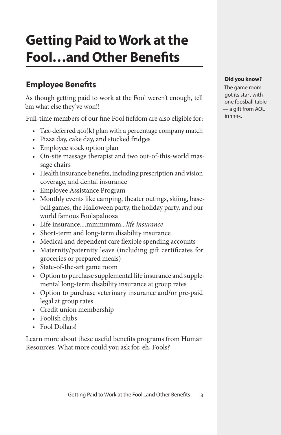# **Getting Paid to Work at the Fool…and Other Benefits**

# **Employee Benefits**

As though getting paid to work at the Fool weren't enough, tell 'em what else they've won!!

Full-time members of our fine Fool fiefdom are also eligible for:

- Tax-deferred  $401(k)$  plan with a percentage company match
- • Pizza day, cake day, and stocked fridges
- Employee stock option plan
- On-site massage therapist and two out-of-this-world massage chairs
- • Health insurance benefits, including prescription and vision coverage, and dental insurance
- • Employee Assistance Program
- Monthly events like camping, theater outings, skiing, baseball games, the Halloween party, the holiday party, and our world famous Foolapalooza
- • Life insurance....mmmmmm..*.life insurance*
- • Short-term and long-term disability insurance
- Medical and dependent care flexible spending accounts
- Maternity/paternity leave (including gift certificates for groceries or prepared meals)
- • State-of-the-art game room
- Option to purchase supplemental life insurance and supplemental long-term disability insurance at group rates
- Option to purchase veterinary insurance and/or pre-paid legal at group rates
- • Credit union membership
- Foolish clubs
- • Fool Dollars!

Learn more about these useful benefits programs from Human Resources. What more could you ask for, eh, Fools?

### **Did you know?**

The game room got its start with one foosball table — a gift from AOL in 1995.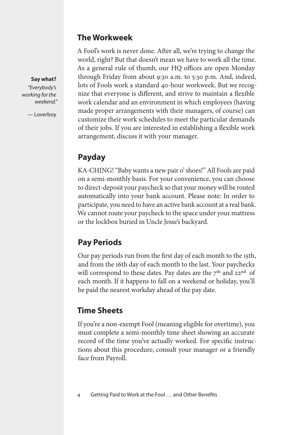### **The Workweek**

A Fool's work is never done. After all, we're trying to change the world, right? But that doesn't mean we have to work all the time. As a general rule of thumb, our HQ offices are open Monday through Friday from about 9:30 a.m. to 5:30 p.m. And, indeed, lots of Fools work a standard 40-hour workweek. But we recognize that everyone is different, and strive to maintain a flexible work calendar and an environment in which employees (having made proper arrangements with their managers, of course) can customize their work schedules to meet the particular demands of their jobs. If you are interested in establishing a flexible work arrangement, discuss it with your manager.

# **Payday**

KA-CHING! "Baby wants a new pair o' shoes!" All Fools are paid on a semi-monthly basis. For your convenience, you can choose to direct-deposit your paycheck so that your money will be routed automatically into your bank account. Please note: In order to participate, you need to have an active bank account at a real bank. We cannot route your paycheck to the space under your mattress or the lockbox buried in Uncle Jesse's backyard.

# **Pay Periods**

Our pay periods run from the first day of each month to the 15th, and from the 16th day of each month to the last. Your paychecks will correspond to these dates. Pay dates are the  $7<sup>th</sup>$  and  $22<sup>nd</sup>$  of each month. If it happens to fall on a weekend or holiday, you'll be paid the nearest workday ahead of the pay date.

## **Time Sheets**

If you're a non-exempt Fool (meaning eligible for overtime), you must complete a semi-monthly time sheet showing an accurate record of the time you've actually worked. For specific instructions about this procedure, consult your manager or a friendly face from Payroll.

### **Say what?**

*"Everybody's working for the weekend."* 

— Loverboy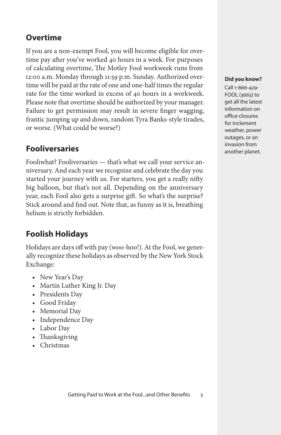# **Overtime**

If you are a non-exempt Fool, you will become eligible for overtime pay after you've worked 40 hours in a week. For purposes of calculating overtime, The Motley Fool workweek runs from 12:00 a.m. Monday through 11:59 p.m. Sunday. Authorized overtime will be paid at the rate of one and one-half times the regular rate for the time worked in excess of 40 hours in a workweek. Please note that overtime should be authorized by your manager. Failure to get permission may result in severe finger wagging, frantic jumping up and down, random Tyra Banks-style tirades, or worse. (What could be worse?)

# **Fooliversaries**

Fooliwhat? Fooliversaries — that's what we call your service anniversary. And each year we recognize and celebrate the day you started your journey with us. For starters, you get a really nifty big balloon, but that's not all. Depending on the anniversary year, each Fool also gets a surprise gift. So what's the surprise? Stick around and find out. Note that, as funny as it is, breathing helium is strictly forbidden.

# **Foolish Holidays**

Holidays are days off with pay (woo-hoo!). At the Fool, we generally recognize these holidays as observed by the New York Stock Exchange:

- New Year's Day
- Martin Luther King Jr. Day
- Presidents Day
- Good Friday
- Memorial Day
- Independence Day
- Labor Day
- Thanksgiving
- • Christmas

### **Did you know?**

Call 1-866-429- FOOL (3665) to get all the latest information on office closures for inclement weather, power outages, or an invasion from another planet.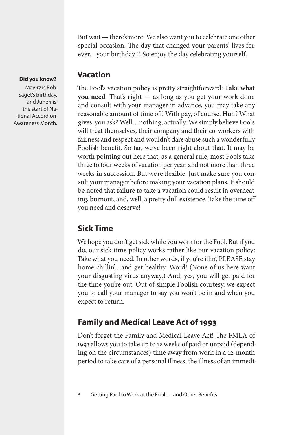But wait — there's more! We also want you to celebrate one other special occasion. The day that changed your parents' lives forever…your birthday!!! So enjoy the day celebrating yourself.

### **Vacation**

The Fool's vacation policy is pretty straightforward: **Take what you need**. That's right — as long as you get your work done and consult with your manager in advance, you may take any reasonable amount of time off. With pay, of course. Huh? What gives, you ask? Well…nothing, actually. We simply believe Fools will treat themselves, their company and their co-workers with fairness and respect and wouldn't dare abuse such a wonderfully Foolish benefit. So far, we've been right about that. It may be worth pointing out here that, as a general rule, most Fools take three to four weeks of vacation per year, and not more than three weeks in succession. But we're flexible. Just make sure you consult your manager before making your vacation plans. It should be noted that failure to take a vacation could result in overheating, burnout, and, well, a pretty dull existence. Take the time off you need and deserve!

# **Sick Time**

We hope you don't get sick while you work for the Fool. But if you do, our sick time policy works rather like our vacation policy: Take what you need. In other words, if you're illin', PLEASE stay home chillin'...and get healthy. Word! (None of us here want your disgusting virus anyway.) And, yes, you will get paid for the time you're out. Out of simple Foolish courtesy, we expect you to call your manager to say you won't be in and when you expect to return.

# **Family and Medical Leave Act of 1993**

Don't forget the Family and Medical Leave Act! The FMLA of 1993 allows you to take up to 12 weeks of paid or unpaid (depending on the circumstances) time away from work in a 12-month period to take care of a personal illness, the illness of an immedi-

### **Did you know?**

May 17 is Bob Saget's birthday, and June 1 is the start of National Accordion Awareness Month.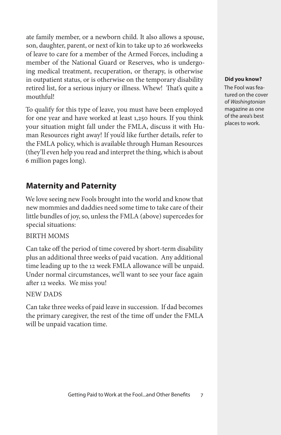ate family member, or a newborn child. It also allows a spouse, son, daughter, parent, or next of kin to take up to 26 workweeks of leave to care for a member of the Armed Forces, including a member of the National Guard or Reserves, who is undergoing medical treatment, recuperation, or therapy, is otherwise in outpatient status, or is otherwise on the temporary disability retired list, for a serious injury or illness. Whew! That's quite a mouthful!

To qualify for this type of leave, you must have been employed for one year and have worked at least 1,250 hours. If you think your situation might fall under the FMLA, discuss it with Human Resources right away! If you'd like further details, refer to the FMLA policy, which is available through Human Resources (they'll even help you read and interpret the thing, which is about 6 million pages long).

### **Maternity and Paternity**

We love seeing new Fools brought into the world and know that new mommies and daddies need some time to take care of their little bundles of joy, so, unless the FMLA (above) supercedes for special situations:

### BIRTH MOMS

Can take off the period of time covered by short-term disability plus an additional three weeks of paid vacation. Any additional time leading up to the 12 week FMLA allowance will be unpaid. Under normal circumstances, we'll want to see your face again after 12 weeks. We miss you!

### NEW DADS

Can take three weeks of paid leave in succession. If dad becomes the primary caregiver, the rest of the time off under the FMLA will be unpaid vacation time.

#### **Did you know?**

The Fool was featured on the cover of *Washingtonian* magazine as one of the area's best places to work.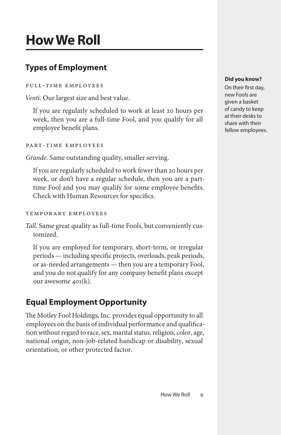# **How We Roll**

# **Types of Employment**

### Full-Time Employees

*Venti.* Our largest size and best value.

If you are regularly scheduled to work at least 20 hours per week, then you are a full-time Fool, and you qualify for all employee benefit plans.

Part-Time Employees

*Grande.* Same outstanding quality, smaller serving.

If you are regularly scheduled to work fewer than 20 hours per week, or don't have a regular schedule, then you are a parttime Fool and you may qualify for some employee benefits. Check with Human Resources for specifics.

### Temporary Employees

*Tall.* Same great quality as full-time Fools, but conveniently customized.

If you are employed for temporary, short-term, or irregular periods — including specific projects, overloads, peak periods, or as-needed arrangements — then you are a temporary Fool, and you do not qualify for any company benefit plans except our awesome 401(k).

# **Equal Employment Opportunity**

The Motley Fool Holdings, Inc. provides equal opportunity to all employees on the basis of individual performance and qualification without regard to race, sex, marital status, religion, color, age, national origin, non-job-related handicap or disability, sexual orientation, or other protected factor.

### **Did you know?**

On their first day, new Fools are given a basket of candy to keep at their desks to share with their fellow employees.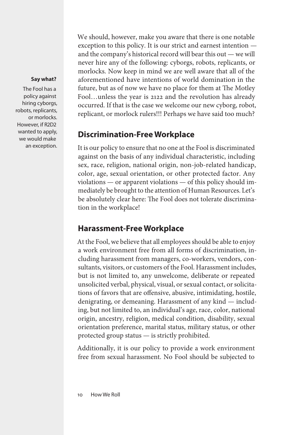#### **Say what?**

The Fool has a policy against hiring cyborgs, robots, replicants, or morlocks. However, if R2D2 wanted to apply, we would make an exception. We should, however, make you aware that there is one notable exception to this policy. It is our strict and earnest intention and the company's historical record will bear this out — we will never hire any of the following: cyborgs, robots, replicants, or morlocks. Now keep in mind we are well aware that all of the aforementioned have intentions of world domination in the future, but as of now we have no place for them at The Motley Fool…unless the year is 2122 and the revolution has already occurred. If that is the case we welcome our new cyborg, robot, replicant, or morlock rulers!!! Perhaps we have said too much?

### **Discrimination-Free Workplace**

It is our policy to ensure that no one at the Fool is discriminated against on the basis of any individual characteristic, including sex, race, religion, national origin, non-job-related handicap, color, age, sexual orientation, or other protected factor. Any violations — or apparent violations — of this policy should immediately be brought to the attention of Human Resources. Let's be absolutely clear here: The Fool does not tolerate discrimination in the workplace!

## **Harassment-Free Workplace**

At the Fool, we believe that all employees should be able to enjoy a work environment free from all forms of discrimination, including harassment from managers, co-workers, vendors, consultants, visitors, or customers of the Fool. Harassment includes, but is not limited to, any unwelcome, deliberate or repeated unsolicited verbal, physical, visual, or sexual contact, or solicitations of favors that are offensive, abusive, intimidating, hostile, denigrating, or demeaning. Harassment of any kind — including, but not limited to, an individual's age, race, color, national origin, ancestry, religion, medical condition, disability, sexual orientation preference, marital status, military status, or other protected group status — is strictly prohibited.

Additionally, it is our policy to provide a work environment free from sexual harassment. No Fool should be subjected to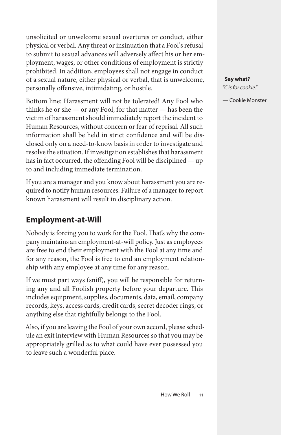unsolicited or unwelcome sexual overtures or conduct, either physical or verbal. Any threat or insinuation that a Fool's refusal to submit to sexual advances will adversely affect his or her employment, wages, or other conditions of employment is strictly prohibited. In addition, employees shall not engage in conduct of a sexual nature, either physical or verbal, that is unwelcome, personally offensive, intimidating, or hostile.

Bottom line: Harassment will not be tolerated! Any Fool who thinks he or she — or any Fool, for that matter — has been the victim of harassment should immediately report the incident to Human Resources, without concern or fear of reprisal. All such information shall be held in strict confidence and will be disclosed only on a need-to-know basis in order to investigate and resolve the situation. If investigation establishes that harassment has in fact occurred, the offending Fool will be disciplined — up to and including immediate termination.

If you are a manager and you know about harassment you are required to notify human resources. Failure of a manager to report known harassment will result in disciplinary action.

# **Employment-at-Will**

Nobody is forcing you to work for the Fool. That's why the company maintains an employment-at-will policy. Just as employees are free to end their employment with the Fool at any time and for any reason, the Fool is free to end an employment relationship with any employee at any time for any reason.

If we must part ways (sniff), you will be responsible for returning any and all Foolish property before your departure. This includes equipment, supplies, documents, data, email, company records, keys, access cards, credit cards, secret decoder rings, or anything else that rightfully belongs to the Fool.

Also, if you are leaving the Fool of your own accord, please schedule an exit interview with Human Resources so that you may be appropriately grilled as to what could have ever possessed you to leave such a wonderful place.

### **Say what?**

*"C is for cookie."*

— Cookie Monster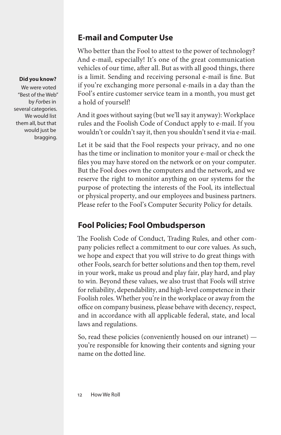# **E-mail and Computer Use**

Who better than the Fool to attest to the power of technology? And e-mail, especially! It's one of the great communication vehicles of our time, after all. But as with all good things, there is a limit. Sending and receiving personal e-mail is fine. But if you're exchanging more personal e-mails in a day than the Fool's entire customer service team in a month, you must get a hold of yourself!

And it goes without saying (but we'll say it anyway): Workplace rules and the Foolish Code of Conduct apply to e-mail. If you wouldn't or couldn't say it, then you shouldn't send it via e-mail.

Let it be said that the Fool respects your privacy, and no one has the time or inclination to monitor your e-mail or check the files you may have stored on the network or on your computer. But the Fool does own the computers and the network, and we reserve the right to monitor anything on our systems for the purpose of protecting the interests of the Fool, its intellectual or physical property, and our employees and business partners. Please refer to the Fool's Computer Security Policy for details.

# **Fool Policies; Fool Ombudsperson**

The Foolish Code of Conduct, Trading Rules, and other company policies reflect a commitment to our core values. As such, we hope and expect that you will strive to do great things with other Fools, search for better solutions and then top them, revel in your work, make us proud and play fair, play hard, and play to win. Beyond these values, we also trust that Fools will strive for reliability, dependability, and high-level competence in their Foolish roles. Whether you're in the workplace or away from the office on company business, please behave with decency, respect, and in accordance with all applicable federal, state, and local laws and regulations.

So, read these policies (conveniently housed on our intranet) you're responsible for knowing their contents and signing your name on the dotted line.

### **Did you know?**

We were voted "Best of the Web" by *Forbes* in several categories. We would list them all, but that would just be bragging.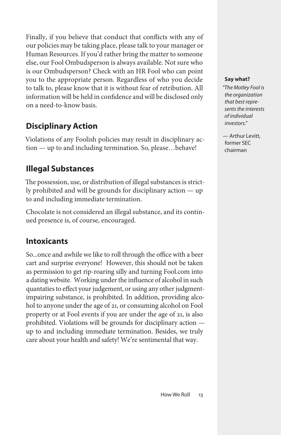Finally, if you believe that conduct that conflicts with any of our policies may be taking place, please talk to your manager or Human Resources. If you'd rather bring the matter to someone else, our Fool Ombudsperson is always available. Not sure who is our Ombudsperson? Check with an HR Fool who can point you to the appropriate person. Regardless of who you decide to talk to, please know that it is without fear of retribution. All information will be held in confidence and will be disclosed only on a need-to-know basis.

# **Disciplinary Action**

Violations of any Foolish policies may result in disciplinary action — up to and including termination. So, please…behave!

# **Illegal Substances**

The possession, use, or distribution of illegal substances is strictly prohibited and will be grounds for disciplinary action — up to and including immediate termination.

Chocolate is not considered an illegal substance, and its continued presence is, of course, encouraged.

## **Intoxicants**

So...once and awhile we like to roll through the office with a beer cart and surprise everyone! However, this should not be taken as permission to get rip-roaring silly and turning Fool.com into a dating website. Working under the influence of alcohol in such quantaties to effect your judgement, or using any other judgmentimpairing substance, is prohibited. In addition, providing alcohol to anyone under the age of 21, or consuming alcohol on Fool property or at Fool events if you are under the age of 21, is also prohibited. Violations will be grounds for disciplinary action up to and including immediate termination. Besides, we truly care about your health and safety! We're sentimental that way.

### **Say what?**

*"The Motley Fool is the organization that best represents the interests of individual investors."*

— Arthur Levitt, former SEC chairman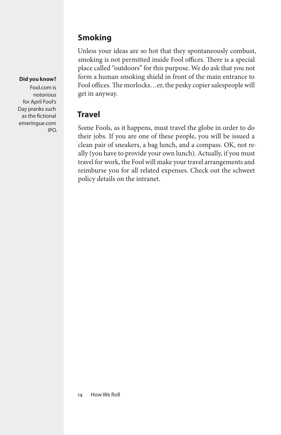# **Smoking**

Unless your ideas are so hot that they spontaneously combust, smoking is not permitted inside Fool offices. There is a special place called "outdoors" for this purpose. We do ask that you not form a human smoking shield in front of the main entrance to Fool offices. The morlocks…er, the pesky copier salespeople will get in anyway.

# **Travel**

Some Fools, as it happens, must travel the globe in order to do their jobs. If you are one of these people, you will be issued a clean pair of sneakers, a bag lunch, and a compass. OK, not really (you have to provide your own lunch). Actually, if you must travel for work, the Fool will make your travel arrangements and reimburse you for all related expenses. Check out the schweet policy details on the intranet.

### **Did you know?**

Fool.com is notorious for April Fool's Day pranks such as the fictional emeringue.com IPO.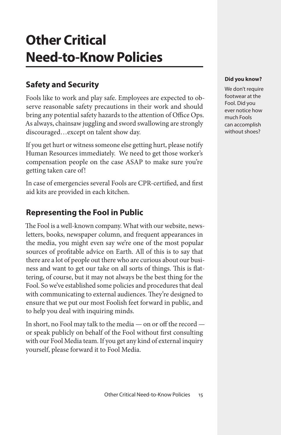# **Other Critical Need-to-Know Policies**

# **Safety and Security**

Fools like to work and play safe. Employees are expected to observe reasonable safety precautions in their work and should bring any potential safety hazards to the attention of Office Ops. As always, chainsaw juggling and sword swallowing are strongly discouraged…except on talent show day.

If you get hurt or witness someone else getting hurt, please notify Human Resources immediately. We need to get those worker's compensation people on the case ASAP to make sure you're getting taken care of!

In case of emergencies several Fools are CPR-certified, and first aid kits are provided in each kitchen.

### **Representing the Fool in Public**

The Fool is a well-known company. What with our website, newsletters, books, newspaper column, and frequent appearances in the media, you might even say we're one of the most popular sources of profitable advice on Earth. All of this is to say that there are a lot of people out there who are curious about our business and want to get our take on all sorts of things. This is flattering, of course, but it may not always be the best thing for the Fool. So we've established some policies and procedures that deal with communicating to external audiences. They're designed to ensure that we put our most Foolish feet forward in public, and to help you deal with inquiring minds.

In short, no Fool may talk to the media — on or off the record or speak publicly on behalf of the Fool without first consulting with our Fool Media team. If you get any kind of external inquiry yourself, please forward it to Fool Media.

#### **Did you know?**

We don't require footwear at the Fool. Did you ever notice how much Fools can accomplish without shoes?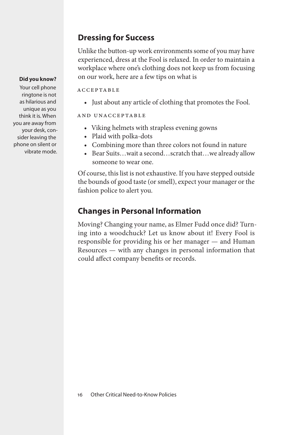## **Dressing for Success**

Unlike the button-up work environments some of you may have experienced, dress at the Fool is relaxed. In order to maintain a workplace where one's clothing does not keep us from focusing on our work, here are a few tips on what is

acceptable

• Just about any article of clothing that promotes the Fool.

and unacceptable

- • Viking helmets with strapless evening gowns
- • Plaid with polka-dots
- Combining more than three colors not found in nature
- Bear Suits...wait a second...scratch that...we already allow someone to wear one.

Of course, this list is not exhaustive. If you have stepped outside the bounds of good taste (or smell), expect your manager or the fashion police to alert you.

# **Changes in Personal Information**

Moving? Changing your name, as Elmer Fudd once did? Turning into a woodchuck? Let us know about it! Every Fool is responsible for providing his or her manager — and Human Resources — with any changes in personal information that could affect company benefits or records.

### **Did you know?**

Your cell phone ringtone is not as hilarious and unique as you think it is. When you are away from your desk, consider leaving the phone on silent or vibrate mode.